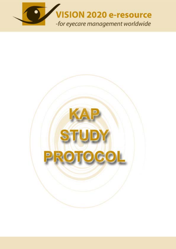

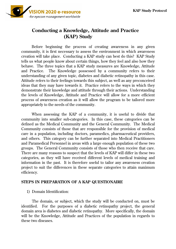

# **Conducting a Knowledge, Attitude and Practice (KAP) Study**

Before beginning the process of creating awareness in any given community, it is first necessary to assess the environment in which awareness creation will take place. Conducting a KAP study can best do this? KAP Study tells us what people know about certain things, how they feel and also how they behave. The three topics that a KAP study measures are Knowledge, Attitude and Practice. The Knowledge possessed by a community refers to their understanding of any given topic, diabetes and diabetic retinopathy in this case. Attitude refers to their feelings towards this subject, as well as any preconceived ideas that they may have towards it. Practice refers to the ways in which they demonstrate their knowledge and attitude through their actions. Understanding the levels of Knowledge, Attitude and Practice will allow for a more efficient process of awareness creation as it will allow the program to be tailored more appropriately to the needs of the community.

When assessing the KAP of a community, it is useful to divide that community into smaller sub-categories. In this case, these categories can be defined as the Medical Community and the General Community. The Medical Community consists of those that are responsible for the provision of medical care in a population, including doctors, paramedics, pharmaceutical providers, and others. This category can be further separated into Medical Practitioners and Paramedical Personnel in areas with a large enough population of these two groups. The General Community consists of those who then receive that care. There are many reasons to suspect that the levels of KAP will differ in these two categories, as they will have received different levels of medical training and information in the past. It is therefore useful to tailor any awareness creation project to suit the differences in these separate categories to attain maximum efficiency.

### **STEPS IN PREPARATION OF A KAP QUESTIONAIRE**

#### 1) Domain Identification:

 The domain, or subject, which the study will be conducted on, must be identified. For the purposes of a diabetic retinopathy project, the general domain area is diabetes and diabetic retinopathy. More specifically, the domain will be the Knowledge, Attitude and Practices of the population in regards to these two diseases.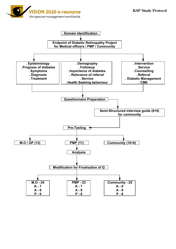

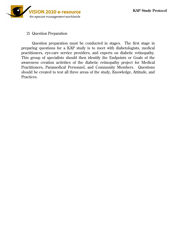

#### 2) Question Preparation

 Question preparation must be conducted in stages. The first stage in preparing questions for a KAP study is to meet with diabetologists, medical practitioners, eye-care service providers, and experts on diabetic retinopathy. This group of specialists should then identify the Endpoints or Goals of the awareness creation activities of the diabetic retinopathy project for Medical Practitioners, Paramedical Personnel, and Community Members. Questions should be created to test all three areas of the study, Knowledge, Attitude, and Practices.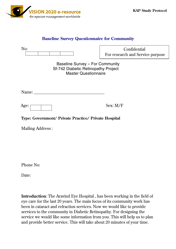

## **Baseline Survey Questionnaire for Community**

| No:                                                                                                   | Confidential<br>For research and Service purpose |
|-------------------------------------------------------------------------------------------------------|--------------------------------------------------|
| Baseline Survey - For Community<br>Sf-742 Diabetic Retinopathy Project<br><b>Master Questionnaire</b> |                                                  |
| Name:                                                                                                 |                                                  |
| Age:                                                                                                  | Sex: $M/F$                                       |
| Type: Government/ Private Practice/ Private Hospital                                                  |                                                  |
| <b>Mailing Address:</b>                                                                               |                                                  |
|                                                                                                       |                                                  |
|                                                                                                       |                                                  |

Phone No:

Date:

**Introduction**: The Aravind Eye Hospital , has been working in the field of eye care for the last 20 years. The main focus of its community work has been in cataract and refraction services. Now we would like to provide services to the community in Diabetic Retinopathy. For designing the service we would like some information from you. This will help us to plan and provide better service. This will take about 20 minutes of your time.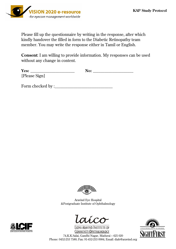

Please fill up the questionnaire by writing in the response, after which kindly handover the filled in form to the Diabetic Retinopathy team member. You may write the response either in Tamil or English.

**Consent**: I am willing to provide information. My responses can be used without any change in content.

| Yes:                                                   | ື<br>. . |  |
|--------------------------------------------------------|----------|--|
| [P]<br>$-1$<br>70900<br>$\sim$<br>$\sim$ $\sim$ $\sim$ |          |  |

Form checked by :



Aravind Eye Hospital &Postgraduate Institute of Ophthalmology



**LIONS ARAVIND INSTITUTE OF** COMMUNITY OPHTHALMOLOGY



74,K.K.Salai, Gandhi Nagar, Madurai – 625 020 Phone: 0452-253 7580; Fax: 91-452-253 0984; Email: diab@aravind.org

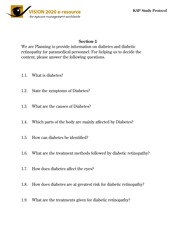

## **Section-1**

We are Planning to provide information on diabetes and diabetic retinopathy for paramedical personnel. For helping us to decide the content, please answer the following questions.

- 1.1. What is diabetes?
- 1.2. State the symptoms of Diabetes?
- 1.3. What are the causes of Diabetes?
- 1.4. Which parts of the body are mainly affected by Diabetes?
- 1.5. How can diabetes be identified?
- 1.6. What are the treatment methods followed by diabetic retinopathy?
- 1.7. How does diabetes affect the eyes?
- 1.8. How does diabetes are at greatest risk for diabetic retinopathy?
- 1.9. What are the treatments given for diabetic retinopathy?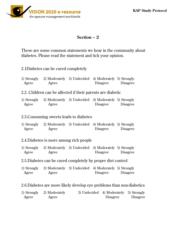

## **Section – 2**

These are some common statements we hear in the community about diabetes. Please read the statement and tick your opinion.

| 2.1Diabetes can be cured completely |
|-------------------------------------|
|-------------------------------------|

| Agree | 1) Strongly 2) Moderately 3) Undecided 4) Moderately 5) Strongly<br>Agree | <b>Disagree</b> | Disagree                                                              |
|-------|---------------------------------------------------------------------------|-----------------|-----------------------------------------------------------------------|
|       | 2.2. Children can be affected if their parents are diabetic               |                 |                                                                       |
| Agree | 1) Strongly 2) Moderately 3) Undecided 4) Moderately 5) Strongly<br>Agree | <b>Disagree</b> | <b>Disagree</b>                                                       |
|       | 2.3. Consuming sweets leads to diabetes                                   |                 |                                                                       |
| Agree | 1) Strongly 2) Moderately 3) Undecided 4) Moderately 5) Strongly<br>Agree | Disagree        | <b>Disagree</b>                                                       |
|       | 2.4. Diabetes is more among rich people                                   |                 |                                                                       |
| Agree | 1) Strongly 2) Moderately 3) Undecided 4) Moderately 5) Strongly<br>Agree | Disagree        | <b>Disagree</b>                                                       |
|       | 2.5. Diabetes can be cured completely by proper diet control              |                 |                                                                       |
| Agree | 1) Strongly 2) Moderately 3) Undecided 4) Moderately 5) Strongly<br>Agree | Disagree        | Disagree                                                              |
|       |                                                                           |                 | 2.6. Diabetes are more likely develop eye problems than non-diabetics |

|       | 1) Strongly 2) Moderately | 3) Undecided 4) Moderately 5) Strongly |                 |
|-------|---------------------------|----------------------------------------|-----------------|
| Agree | Agree                     | <b>Disagree</b>                        | <b>Disagree</b> |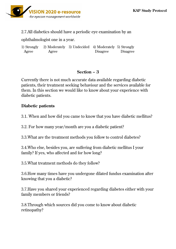

2.7.All diabetics should have a periodic eye examination by an

ophthalmologist one in a year.

1) Strongly 2) Moderately 3) Undecided 4) Moderately 5) Strongly Agree Agree Disagree Disagree Disagree

# **Section – 3**

Currently there is not much accurate data available regarding diabetic patients, their treatment seeking behaviour and the services available for them. In this section we would like to know about your experience with diabetic patients.

## **Diabetic patients**

3.1. When and how did you came to know that you have diabetic mellitus?

3.2. For how many year/month are you a diabetic patient?

3.3.What are the treatment methods you follow to control diabetes?

3.4.Who else, besides you, are suffering from diabetic mellitus I your family? If yes, who affected and for how long?

3.5.What treatment methods do they follow?

3.6.How many times have you undergone dilated fundus examination after knowing that you a diabetic?

3.7.Have you shared your experienced regarding diabetes either with your family members or friends?

3.8.Through which sources did you come to know about diabetic retinopathy?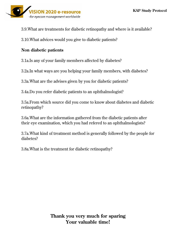

3.9.What are treatments for diabetic retinopathy and where is it available?

3.10.What advices would you give to diabetic patients?

## **Non diabetic patients**

3.1a.Is any of your family members affected by diabetes?

3.2a.In what ways are you helping your family members, with diabetes?

3.3a.What are the advises given by you for diabetic patients?

3.4a.Do you refer diabetic patients to an ophthalmologist?

3.5a.From which source did you come to know about diabetes and diabetic retinopathy?

3.6a.What are the information gathered from the diabetic patients after their eye examination, which you had refered to an ophthalmologists?

3.7a.What kind of treatment method is generally followed by the people for diabetes?

3.8a.What is the treatment for diabetic retinopathy?

# **Thank you very much for sparing Your valuable time!**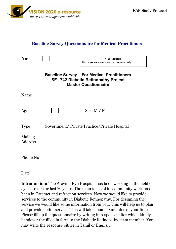

### **Baseline Survey Questionnaire for Medical Practitioners**

| $\bf No:$          | Confidential<br>For Research and service purpose only                                                                    |
|--------------------|--------------------------------------------------------------------------------------------------------------------------|
|                    | <b>Baseline Survey - For Medical Practitioners</b><br>SF-742 Diabetic Retinopathy Project<br><b>Master Questionnaire</b> |
| Name               |                                                                                                                          |
| Age                | Sex: $M / F$                                                                                                             |
| Type               | : Government/ Private Practice/Private Hospital                                                                          |
| Mailing<br>Address |                                                                                                                          |
| Phone No:          |                                                                                                                          |

Date :

**Introduction:** The Aravind Eye Hospital, has been working in the field of eye care for the last 20 years. The main focus of its community work has been in Cataract and refraction services. Now we would like to provide services to the community in Diabetic Retinopathy. For designing the service we would like some information from you. This will help us to plan and provide better service. This will take about 20 minutes of your time. Please fill up the questionnaire by writing in response, after which kindly handover the filled in form to the Diabetic Retinopathy team member. You may write the response either in Tamil or English.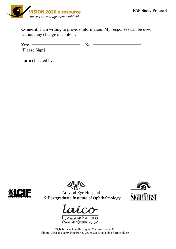

**Consent:** I am writing to provide information. My responses can be used without any change in content.

| Yes:          | No: |
|---------------|-----|
| [Please Sign] |     |

Form checked by:





Aravind Eye Hospital & Postgraduate Institute of Ophthalmology





COMMUNITY OPHTHALMOLOGY

74,K.K.Salai, Gandhi Nagar, Madurai – 625 020 Phone: 0452-253 7580; Fax: 91-452-253 0984; Email: diab@aravind.org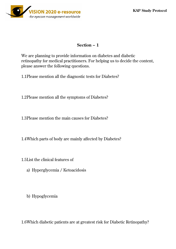

## **Section – 1**

We are planning to provide information on diabetes and diabetic retinopathy for medical practitioners. For helping us to decide the content, please answer the following questions.

1.1 Please mention all the diagnostic tests for Diabetes?

1.2 Please mention all the symptoms of Diabetes?

1.3 Please mention the main causes for Diabetes?

1.4 Which parts of body are mainly affected by Diabetes?

1.5 List the clinical features of

- a) Hyperglycemia / Ketoacidosis
- b) Hypoglycemia

1.6 Which diabetic patients are at greatest risk for Diabetic Retinopathy?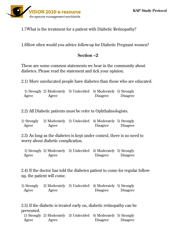

1.7 What is the treatment for a patient with Diabetic Retinopathy?

1.8 How often would you advice follow-up for Diabetic Pregnant women?

## **Section –2**

These are some common statements we hear in the community about diabetes. Please read the statement and tick your opinion.

2.1) More uneducated people have diabetes than those who are educated.

1) Strongly 2) Moderately 3) Undecided 4) Moderately 5) Strongly Agree Agree Disagree Disagree Disagree

2.2) All Diabetic patients must be refer to Ophthalmologists.

| 1) Strongly | 2) Moderately 3) Undecided 4) Moderately 5) Strongly |                 |          |
|-------------|------------------------------------------------------|-----------------|----------|
| Agree       | Agree                                                | <b>Disagree</b> | Disagree |

2.3) As long as the diabetes is kept under control, there is no need to worry about diabetic complication.

1) Strongly 2) Moderately 3) Undecided 4) Moderately 5) Strongly Agree Agree Disagree Disagree Disagree

2.4) If the doctor has told the diabetes patient to come for regular followup, the patient will come.

| 1) Strongly | 2) Moderately 3) Undecided 4) Moderately 5) Strongly |                 |          |
|-------------|------------------------------------------------------|-----------------|----------|
| Agree       | Agree                                                | <b>Disagree</b> | Disagree |

2.5) If the diabetic is treated early on, diabetic retinopathy can be prevented.

 1) Strongly 2) Moderately 3) Undecided 4) Moderately 5) Strongly Agree Agree Disagree Disagree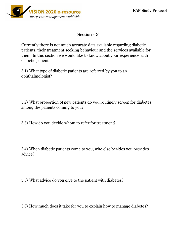

## **Section - 3**

Currently there is not much accurate data available regarding diabetic patients, their treatment seeking behaviour and the services available for them. In this section we would like to know about your experience with diabetic patients.

3.1) What type of diabetic patients are referred by you to an ophthalmologist?

3.2) What proportion of new patients do you routinely screen for diabetes among the patients coming to you?

3.3) How do you decide whom to refer for treatment?

3.4) When diabetic patients come to you, who else besides you provides advice?

3.5) What advice do you give to the patient with diabetes?

3.6) How much does it take for you to explain how to manage diabetes?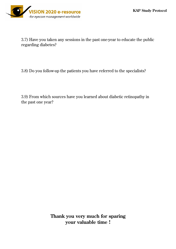

3.7) Have you taken any sessions in the past one-year to educate the public regarding diabetes?

3.8) Do you follow-up the patients you have referred to the specialists?

3.9) From which sources have you learned about diabetic retinopathy in the past one year?

> **Thank you very much for sparing your valuable time !**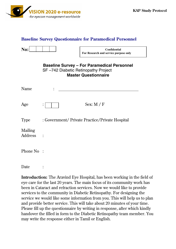

### **Baseline Survey Questionnaire for Paramedical Personnel**

| ш<br>- |  |  |  |
|--------|--|--|--|
|        |  |  |  |

**Confidential For Research and service purpose only** 

| <b>Baseline Survey – For Paramedical Personnel</b> |
|----------------------------------------------------|
| SF-742 Diabetic Retinopathy Project                |
| <b>Master Questionnaire</b>                        |

| Name               | ٠                                               |
|--------------------|-------------------------------------------------|
|                    |                                                 |
| Age                | Sex: $M / F$<br>$\ddot{\cdot}$                  |
| Type               | : Government/ Private Practice/Private Hospital |
| Mailing<br>Address | $\ddot{\cdot}$                                  |
| Phone No:          |                                                 |

Date :

**Introduction:** The Aravind Eye Hospital, has been working in the field of eye care for the last 20 years. The main focus of its community work has been in Cataract and refraction services. Now we would like to provide services to the community in Diabetic Retinopathy. For designing the service we would like some information from you. This will help us to plan and provide better service. This will take about 20 minutes of your time. Please fill up the questionnaire by writing in response, after which kindly handover the filled in form to the Diabetic Retinopathy team member. You may write the response either in Tamil or English.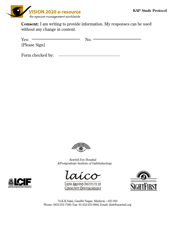

**Consent:** I am writing to provide information. My responses can be used without any change in content.

| Yes:          | No: |
|---------------|-----|
| [Please Sign] |     |

Form checked by:



 Aravind Eye Hospital &Postgraduate Institute of Ophthalmology





74,K.K.Salai, Gandhi Nagar, Madurai – 625 020 Phone: 0452-253 7580; Fax: 91-452-253 0984; Email: diab@aravind.org

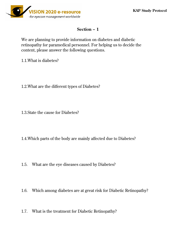

### **Section – 1**

We are planning to provide information on diabetes and diabetic retinopathy for paramedical personnel. For helping us to decide the content, please answer the following questions.

1.1.What is diabetes?

- 1.2.What are the different types of Diabetes?
- 1.3.State the cause for Diabetes?
- 1.4.Which parts of the body are mainly affected due to Diabetes?
- 1.5. What are the eye diseases caused by Diabetes?
- 1.6. Which among diabetes are at great risk for Diabetic Retinopathy?
- 1.7. What is the treatment for Diabetic Retinopathy?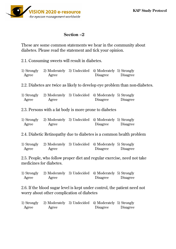

### **Section –2**

These are some common statements we hear in the community about diabetes. Please read the statement and tick your opinion.

2.1. Consuming sweets will result in diabetes.

| 1) Strongly | 2) Moderately 3) Undecided 4) Moderately 5) Strongly |                 |          |
|-------------|------------------------------------------------------|-----------------|----------|
| Agree       | Agree                                                | <b>Disagree</b> | Disagree |

2.2. Diabetes are twice as likely to develop eye problem than non-diabetes.

1) Strongly 2) Moderately 3) Undecided 4) Moderately 5) Strongly Agree Agree Disagree Disagree Disagree

2.3. Persons with a fat body is more prone to diabetes

| 1) Strongly | 2) Moderately 3) Undecided 4) Moderately 5) Strongly |                 |          |
|-------------|------------------------------------------------------|-----------------|----------|
| Agree       | Agree                                                | <b>Disagree</b> | Disagree |

2.4. Diabetic Retinopathy due to diabetes is a common health problem

1) Strongly 2) Moderately 3) Undecided 4) Moderately 5) Strongly Agree Agree Disagree Disagree Disagree

2.5. People, who follow proper diet and regular exercise, need not take medicines for diabetes.

| 1) Strongly | 2) Moderately 3) Undecided 4) Moderately 5) Strongly |                 |          |
|-------------|------------------------------------------------------|-----------------|----------|
| Agree       | Agree                                                | <b>Disagree</b> | Disagree |

2.6. If the blood sugar level is kept under control, the patient need not worry about other complication of diabetes

|       | 1) Strongly 2) Moderately 3) Undecided 4) Moderately 5) Strongly |                 |                 |
|-------|------------------------------------------------------------------|-----------------|-----------------|
| Agree | Agree                                                            | <b>Disagree</b> | <i>Disagree</i> |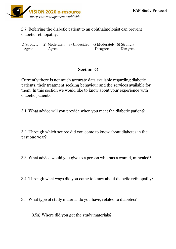

2.7. Referring the diabetic patient to an ophthalmologist can prevent diabetic retinopathy.

1) Strongly 2) Moderately 3) Undecided 4) Moderately 5) Strongly Agree Agree Disagree Disagree Disagree

# **Section -3**

Currently there is not much accurate data available regarding diabetic patients, their treatment seeking behaviour and the services available for them. In this section we would like to know about your experience with diabetic patients.

3.1. What advice will you provide when you meet the diabetic patient?

3.2. Through which source did you come to know about diabetes in the past one year?

3.3. What advice would you give to a person who has a wound, unhealed?

3.4. Through what ways did you come to know about diabetic retinopathy?

3.5. What type of study material do you have, related to diabetes?

3.5a) Where did you get the study materials?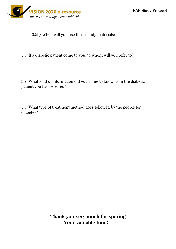

3.5b) When will you use these study materials?

3.6. If a diabetic patient come to you, to whom will you refer to?

3.7. What kind of information did you come to know from the diabetic patient you had referred?

3.8. What type of treatment method does followed by the people for diabetes?

> **Thank you very much for sparing Your valuable time!**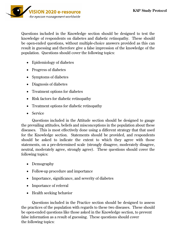

Questions included in the Knowledge section should be designed to test the knowledge of respondents on diabetes and diabetic retinopathy. These should be open-ended questions, without multiple-choice answers provided as this can result in guessing and therefore give a false impression of the knowledge of the population. Questions should cover the following topics:

- Epidemiology of diabetes
- Progress of diabetes
- Symptoms of diabetes
- Diagnosis of diabetes
- Treatment options for diabetes
- $\bullet$  Risk factors for diabetic retinopathy
- Treatment options for diabetic retinopathy
- Service

Questions included in the Attitude section should be designed to gauge the prevailing attitudes, beliefs and misconceptions in the population about these diseases. This is most effectively done using a different strategy that that used for the Knowledge section. Statements should be provided, and respondents should be asked to indicate the extent to which they agree with those statements, on a pre-determined scale (strongly disagree, moderately disagree, neutral, moderately agree, strongly agree). These questions should cover the following topics:

- Demography
- Follow-up procedure and importance
- Importance, significance, and severity of diabetes
- Importance of referral
- $\bullet$  Health seeking behavior

Questions included in the Practice section should be designed to assess the practices of the population with regards to these two diseases. These should be open-ended questions like those asked in the Knowledge section, to prevent false information as a result of guessing. These questions should cover the following topics: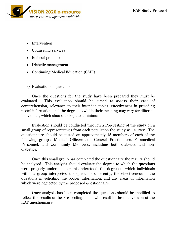

- Intervention
- $\bullet$  Counseling services
- Referral practices
- Diabetic management
- Continuing Medical Education (CME)
- 3) Evaluation of questions

 Once the questions for the study have been prepared they must be evaluated. This evaluation should be aimed at assess their ease of comprehension, relevance to their intended topics, effectiveness in providing useful information, and the degree to which their meaning may vary for different individuals, which should be kept to a minimum.

 Evaluation should be conducted through a Pre-Testing of the study on a small group of representatives from each population the study will survey. The questionnaire should be tested on approximately 15 members of each of the following groups: Medical Officers and General Practitioners, Paramedical Personnel, and Community Members, including both diabetics and nondiabetics.

 Once this small group has completed the questionnaire the results should be analyzed. This analysis should evaluate the degree to which the questions were properly understood or misunderstood, the degree to which individuals within a group interpreted the questions differently, the effectiveness of the questions in soliciting the proper information, and any areas of information which were neglected by the proposed questionnaire.

 Once analysis has been completed the questions should be modified to reflect the results of the Pre-Testing. This will result in the final version of the KAP questionnaire.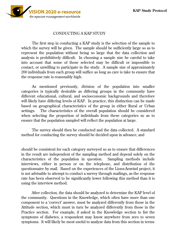

### CONDUCTING A KAP STUDY

 The first step in conducting a KAP study is the selection of the sample to which the survey will be given. The sample should be sufficiently large so as to represent the population without being so large that the data collection and analysis is prohibitively difficult. In choosing a sample size be careful to take into account that some of those selected may be difficult or impossible to contact, or unwilling to participate in the study. A sample size of approximately 200 individuals from each group will suffice as long as care is take to ensure that the response rate is reasonably high.

As mentioned previously, division of the population into smaller categories is typically desirable as differing groups in the community have different educational, cultural, and socioeconomic backgrounds and therefore will likely have differing levels of KAP. In practice, this distinction can be made based on geographical characteristics of the group in either Rural or Urban settings. The characteristics of the overall population should be considered when selecting the proportion of individuals from these categories so as to ensure that the population sampled will reflect the population at large.

The survey should then be conducted and the data collected. A standard method for conducting the survey should be decided upon in advance, and

should be consistent for each category surveyed so as to ensure that differences in the result are independent of the sampling method and depend solely on the characteristics of the population in question. Sampling methods include interviews, either in person or on the telephone, and distribution of the questionnaire by mail. Based on the experiences of the Lions-Aravind project, it is not advisable to attempt to conduct a survey through mailings, as the response rate has been observed to be significantly lower following this method than it is using the interview method.

After collection, the data should be analyzed to determine the KAP level of the community. Questions in the Knowledge, which often have more than one component to a 'correct' answer, must be analyzed differently from those in the Attitude section, which must in turn be analyzed differently from those in the Practice section. For example, if asked in the Knowledge section to list the symptoms of diabetes, a respondent may know anywhere from zero to seven symptoms. It will likely be most useful to analyze data from this section in terms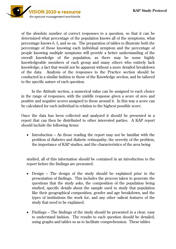

of the absolute number of correct responses to a question, so that it can be determined what percentage of the population knows all of the symptoms, what percentage knows 6, 5, and so on. The preparation of tables to illustrate both the percentage of those knowing each individual symptom and the percentage of people knowing multiple symptoms will provide a better understanding of the overall knowledge of the population, as there may be some highly knowledgeable members of each group and many others who entirely lack knowledge, a fact that would not be apparent without a more detailed breakdown of the data. Analysis of the responses to the Practice section should be conducted in a similar fashion to those of the Knowledge section, and be tailored to the specific nature of each question.

In the Attitude section, a numerical value can be assigned to each choice in the range of responses, with the middle response given a score of zero and positive and negative scores assigned to those around it. In this way a score can be calculated for each individual in relation to the highest possible score.

Once the data has been collected and analyzed it should be presented in a report that can then be distributed to other interested parties. A KAP report should include the following items:

• Introduction – As those reading the report may not be familiar with the problem of diabetes and diabetic retinopathy, the severity of the problem, the importance of KAP studies, and the characteristics of the area being

studied, all of this information should be contained in an introduction to the report before the findings are presented.

- Design The design of the study should be explained prior to the presentation of findings. This includes the process taken to generate the questions that the study asks, the composition of the population being studied, specific details about the sample used to study that population like their geographical composition, gender and age breakdown, and the types of institutions the work for, and any other salient features of the study that need to be explained.
- Findings The findings of the study should be presented in a clear, easy to understand fashion. The results to each question should be detailed, using graphs and tables so as to facilitate comprehension. These tables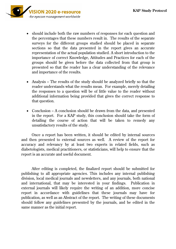

- should include both the raw numbers of responses for each question and the percentages that these numbers result in. The results of the separate surveys for the different groups studied should be placed in separate sections so that the data presented in the report gives an accurate representation of the actual population studied. A short introduction to the importance of correct Knowledge, Attitudes and Practices for each of the groups should be given before the data collected from that group is presented so that the reader has a clear understanding of the relevance and importance of the results.
- Analysis The results of the study should be analyzed briefly so that the reader understands what the results mean. For example, merely detailing the responses to a question will be of little value to the reader without additional information being provided that gives the correct response to that question.
- Conclusion A conclusion should be drawn from the data, and presented in the report. For a KAP study, this conclusion should take the form of detailing the course of action that will be taken to remedy any unsatisfactory results of the study.

Once a report has been written, it should be edited by internal sources and then presented to external sources as well. A review of the report for accuracy and relevancy by at least two experts in related fields, such as diabetologists, medical practitioners, or statisticians, will help to ensure that the report is an accurate and useful document.

After editing is completed, the finalized report should be submitted for publishing to all appropriate agencies. This includes any internal publishing division, local medical journals and newsletters, and any journals, both national and international, that may be interested in your findings. Publication in external journals will likely require the writing of an addition, more concise report in accordance with guidelines that these journals may have for publication, as well as an Abstract of the report. The writing of these documents should follow any guidelines presented by the journals, and be edited in the same manner as the initial report.